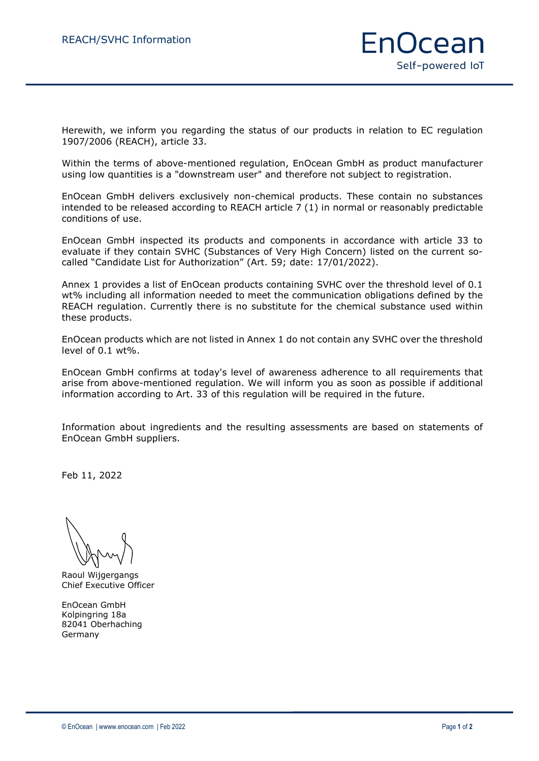Herewith, we inform you regarding the status of our products in relation to EC regulation 1907/2006 (REACH), article 33.

Within the terms of above-mentioned regulation, EnOcean GmbH as product manufacturer using low quantities is a "downstream user" and therefore not subject to registration.

EnOcean GmbH delivers exclusively non-chemical products. These contain no substances intended to be released according to REACH article 7 (1) in normal or reasonably predictable conditions of use.

EnOcean GmbH inspected its products and components in accordance with article 33 to evaluate if they contain SVHC (Substances of Very High Concern) listed on the current socalled "Candidate List for Authorization" (Art. 59; date: 17/01/2022).

Annex 1 provides a list of EnOcean products containing SVHC over the threshold level of 0.1 wt% including all information needed to meet the communication obligations defined by the REACH regulation. Currently there is no substitute for the chemical substance used within these products.

EnOcean products which are not listed in Annex 1 do not contain any SVHC over the threshold level of 0.1 wt%.

EnOcean GmbH confirms at today's level of awareness adherence to all requirements that arise from above-mentioned regulation. We will inform you as soon as possible if additional information according to Art. 33 of this regulation will be required in the future.

Information about ingredients and the resulting assessments are based on statements of EnOcean GmbH suppliers.

Feb 11, 2022

Raoul Wijgergangs Chief Executive Officer

EnOcean GmbH Kolpingring 18a 82041 Oberhaching Germany